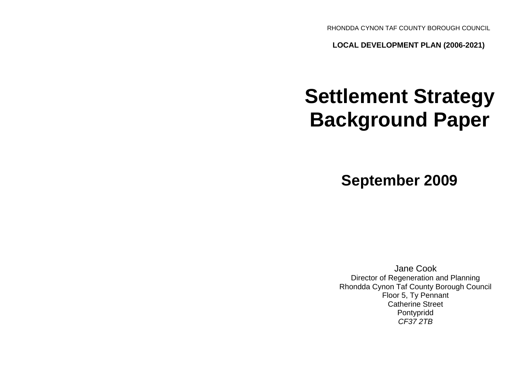RHONDDA CYNON TAF COUNTY BOROUGH COUNCIL

**LOCAL DEVELOPMENT PLAN (2006-2021)**

# **Settlement Strategy Background Paper**

**September 2009**

Jane Cook Director of Regeneration and Planning Rhondda Cynon Taf County Borough Council Floor 5, Ty Pennant Catherine Street Pontypridd *CF37 2TB*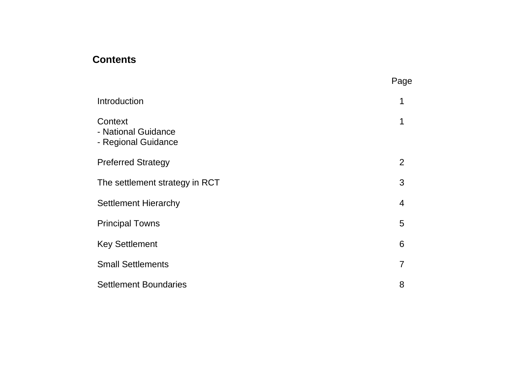# **Contents**

|                                                       | Page |
|-------------------------------------------------------|------|
| Introduction                                          |      |
| Context<br>- National Guidance<br>- Regional Guidance | 1    |
| <b>Preferred Strategy</b>                             | 2    |
| The settlement strategy in RCT                        | 3    |
| <b>Settlement Hierarchy</b>                           | 4    |
| <b>Principal Towns</b>                                | 5    |
| <b>Key Settlement</b>                                 | 6    |
| <b>Small Settlements</b>                              | 7    |
| <b>Settlement Boundaries</b>                          | 8    |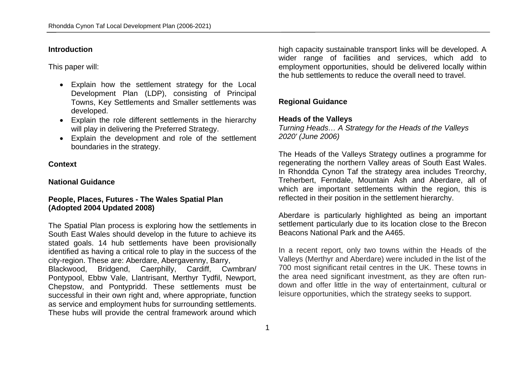#### **Introduction**

This paper will:

- Explain how the settlement strategy for the Local Development Plan (LDP), consisting of Principal Towns, Key Settlements and Smaller settlements was developed.
- Explain the role different settlements in the hierarchy will play in delivering the Preferred Strategy.
- Explain the development and role of the settlement boundaries in the strategy.

# **Context**

### **National Guidance**

# **People, Places, Futures - The Wales Spatial Plan (Adopted 2004 Updated 2008)**

The Spatial Plan process is exploring how the settlements in South East Wales should develop in the future to achieve its stated goals. 14 hub settlements have been provisionally identified as having a critical role to play in the success of the city-region. These are: Aberdare, Abergavenny, Barry, Blackwood, Bridgend, Caerphilly, Cardiff, Cwmbran/ Pontypool, Ebbw Vale, Llantrisant, Merthyr Tydfil, Newport, Chepstow, and Pontypridd. These settlements must be successful in their own right and, where appropriate, function

as service and employment hubs for surrounding settlements. These hubs will provide the central framework around which high capacity sustainable transport links will be developed. A wider range of facilities and services, which add to employment opportunities, should be delivered locally within the hub settlements to reduce the overall need to travel.

# **Regional Guidance**

## **Heads of the Valleys**

*Turning Heads… A Strategy for the Heads of the Valleys 2020' (June 2006)*

The Heads of the Valleys Strategy outlines a programme for regenerating the northern Valley areas of South East Wales. In Rhondda Cynon Taf the strategy area includes Treorchy, Treherbert, Ferndale, Mountain Ash and Aberdare, all of which are important settlements within the region, this is reflected in their position in the settlement hierarchy.

Aberdare is particularly highlighted as being an important settlement particularly due to its location close to the Brecon Beacons National Park and the A465.

In a recent report, only two towns within the Heads of the Valleys (Merthyr and Aberdare) were included in the list of the 700 most significant retail centres in the UK. These towns in the area need significant investment, as they are often rundown and offer little in the way of entertainment, cultural or leisure opportunities, which the strategy seeks to support.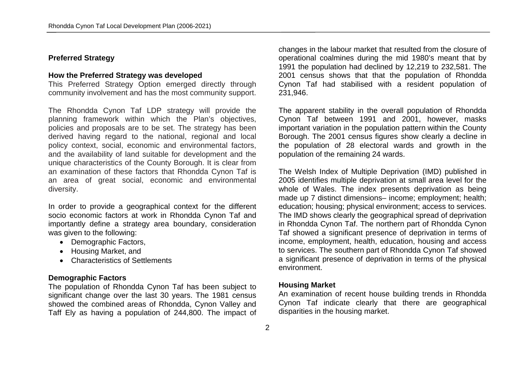#### **Preferred Strategy**

#### **How the Preferred Strategy was developed**

This Preferred Strategy Option emerged directly through community involvement and has the most community support.

The Rhondda Cynon Taf LDP strategy will provide the planning framework within which the Plan's objectives, policies and proposals are to be set. The strategy has been derived having regard to the national, regional and local policy context, social, economic and environmental factors, and the availability of land suitable for development and the unique characteristics of the County Borough. It is clear from an examination of these factors that Rhondda Cynon Taf is an area of great social, economic and environmental diversity.

In order to provide a geographical context for the different socio economic factors at work in Rhondda Cynon Taf and importantly define a strategy area boundary, consideration was given to the following:

- Demographic Factors,
- Housing Market, and
- Characteristics of Settlements

#### **Demographic Factors**

The population of Rhondda Cynon Taf has been subject to significant change over the last 30 years. The 1981 census showed the combined areas of Rhondda, Cynon Valley and Taff Ely as having a population of 244,800. The impact of changes in the labour market that resulted from the closure of operational coalmines during the mid 1980's meant that by 1991 the population had declined by 12,219 to 232,581. The 2001 census shows that that the population of Rhondda Cynon Taf had stabilised with a resident population of 231,946.

The apparent stability in the overall population of Rhondda Cynon Taf between 1991 and 2001, however, masks important variation in the population pattern within the County Borough. The 2001 census figures show clearly a decline in the population of 28 electoral wards and growth in the population of the remaining 24 wards.

The Welsh Index of Multiple Deprivation (IMD) published in 2005 identifies multiple deprivation at small area level for the whole of Wales. The index presents deprivation as being made up 7 distinct dimensions– income; employment; health; education; housing; physical environment; access to services. The IMD shows clearly the geographical spread of deprivation in Rhondda Cynon Taf. The northern part of Rhondda Cynon Taf showed a significant presence of deprivation in terms of income, employment, health, education, housing and access to services. The southern part of Rhondda Cynon Taf showed a significant presence of deprivation in terms of the physical environment.

#### **Housing Market**

An examination of recent house building trends in Rhondda Cynon Taf indicate clearly that there are geographical disparities in the housing market.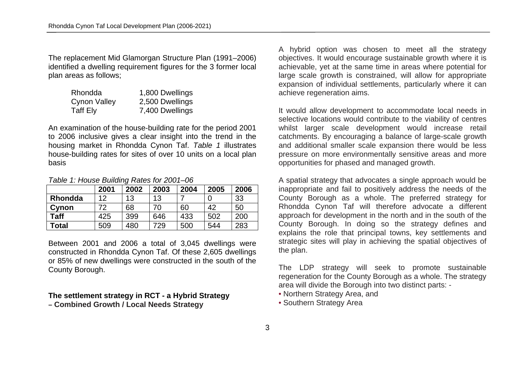The replacement Mid Glamorgan Structure Plan (1991–2006) identified a dwelling requirement figures for the 3 former local plan areas as follows;

| Rhondda      | 1,800 Dwellings |
|--------------|-----------------|
| Cynon Valley | 2,500 Dwellings |
| Taff Ely     | 7,400 Dwellings |

An examination of the house-building rate for the period 2001 to 2006 inclusive gives a clear insight into the trend in the housing market in Rhondda Cynon Taf. *Table 1* illustrates house-building rates for sites of over 10 units on a local plan basis

*Table 1: House Building Rates for 2001–06*

|             | 2001 | 2002 | 2003 | 2004 | 2005 | 2006 |
|-------------|------|------|------|------|------|------|
| Rhondda     | 12   | 13   | 13   |      |      | 33   |
| Cynon       | 72   | 68   | 70   | 60   | 42   | 50   |
| <b>Taff</b> | 425  | 399  | 646  | 433  | 502  | 200  |
| Total       | 509  | 480  | 729  | 500  | 544  | 283  |

Between 2001 and 2006 a total of 3,045 dwellings were constructed in Rhondda Cynon Taf. Of these 2,605 dwellings or 85% of new dwellings were constructed in the south of the County Borough.

#### **The settlement strategy in RCT - a Hybrid Strategy – Combined Growth / Local Needs Strategy**

A hybrid option was chosen to meet all the strategy objectives. It would encourage sustainable growth where it is achievable, yet at the same time in areas where potential for large scale growth is constrained, will allow for appropriate expansion of individual settlements, particularly where it can achieve regeneration aims.

It would allow development to accommodate local needs in selective locations would contribute to the viability of centres whilst larger scale development would increase retail catchments. By encouraging a balance of large-scale growth and additional smaller scale expansion there would be less pressure on more environmentally sensitive areas and more opportunities for phased and managed growth.

A spatial strategy that advocates a single approach would be inappropriate and fail to positively address the needs of the County Borough as a whole. The preferred strategy for Rhondda Cynon Taf will therefore advocate a different approach for development in the north and in the south of the County Borough. In doing so the strategy defines and explains the role that principal towns, key settlements and strategic sites will play in achieving the spatial objectives of the plan.

The LDP strategy will seek to promote sustainable regeneration for the County Borough as a whole. The strategy area will divide the Borough into two distinct parts: -

- Northern Strategy Area, and
- Southern Strategy Area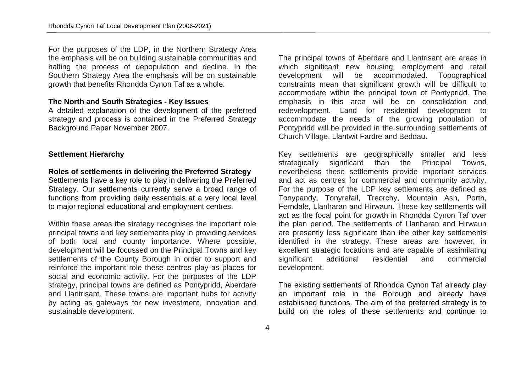For the purposes of the LDP, in the Northern Strategy Area the emphasis will be on building sustainable communities and halting the process of depopulation and decline. In the Southern Strategy Area the emphasis will be on sustainable growth that benefits Rhondda Cynon Taf as a whole.

#### **The North and South Strategies - Key Issues**

A detailed explanation of the development of the preferred strategy and process is contained in the Preferred Strategy Background Paper November 2007.

#### **Settlement Hierarchy**

#### **Roles of settlements in delivering the Preferred Strategy**

Settlements have a key role to play in delivering the Preferred Strategy. Our settlements currently serve a broad range of functions from providing daily essentials at a very local level to major regional educational and employment centres.

Within these areas the strategy recognises the important role principal towns and key settlements play in providing services of both local and county importance. Where possible, development will be focussed on the Principal Towns and key settlements of the County Borough in order to support and reinforce the important role these centres play as places for social and economic activity. For the purposes of the LDP strategy, principal towns are defined as Pontypridd, Aberdare and Llantrisant. These towns are important hubs for activity by acting as gateways for new investment, innovation and sustainable development.

The principal towns of Aberdare and Llantrisant are areas in which significant new housing; employment and retail development will be accommodated. Topographical constraints mean that significant growth will be difficult to accommodate within the principal town of Pontypridd. The emphasis in this area will be on consolidation and redevelopment. Land for residential development to accommodate the needs of the growing population of Pontypridd will be provided in the surrounding settlements of Church Village, Llantwit Fardre and Beddau.

Key settlements are geographically smaller and less strategically significant than the Principal Towns, nevertheless these settlements provide important services and act as centres for commercial and community activity. For the purpose of the LDP key settlements are defined as Tonypandy, Tonyrefail, Treorchy, Mountain Ash, Porth, Ferndale, Llanharan and Hirwaun. These key settlements will act as the focal point for growth in Rhondda Cynon Taf over the plan period. The settlements of Llanharan and Hirwaun are presently less significant than the other key settlements identified in the strategy. These areas are however, in excellent strategic locations and are capable of assimilating significant additional residential and commercial development.

The existing settlements of Rhondda Cynon Taf already play an important role in the Borough and already have established functions. The aim of the preferred strategy is to build on the roles of these settlements and continue to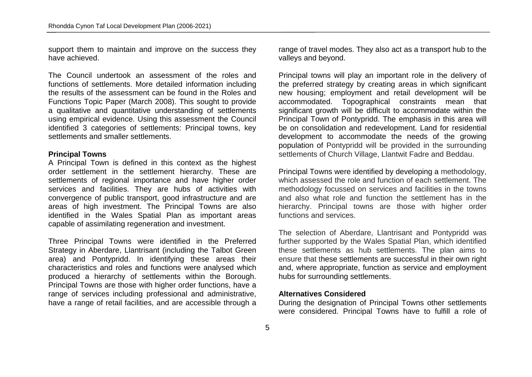support them to maintain and improve on the success they have achieved.

The Council undertook an assessment of the roles and functions of settlements. More detailed information including the results of the assessment can be found in the Roles and Functions Topic Paper (March 2008). This sought to provide a qualitative and quantitative understanding of settlements using empirical evidence. Using this assessment the Council identified 3 categories of settlements: Principal towns, key settlements and smaller settlements.

#### **Principal Towns**

A Principal Town is defined in this context as the highest order settlement in the settlement hierarchy. These are settlements of regional importance and have higher order services and facilities. They are hubs of activities with convergence of public transport, good infrastructure and are areas of high investment. The Principal Towns are also identified in the Wales Spatial Plan as important areas capable of assimilating regeneration and investment.

Three Principal Towns were identified in the Preferred Strategy in Aberdare, Llantrisant (including the Talbot Green area) and Pontypridd. In identifying these areas their characteristics and roles and functions were analysed which produced a hierarchy of settlements within the Borough. Principal Towns are those with higher order functions, have a range of services including professional and administrative, have a range of retail facilities, and are accessible through a

range of travel modes. They also act as a transport hub to the valleys and beyond.

Principal towns will play an important role in the delivery of the preferred strategy by creating areas in which significant new housing; employment and retail development will be accommodated. Topographical constraints mean that significant growth will be difficult to accommodate within the Principal Town of Pontypridd. The emphasis in this area will be on consolidation and redevelopment. Land for residential development to accommodate the needs of the growing population of Pontypridd will be provided in the surrounding settlements of Church Village, Llantwit Fadre and Beddau.

Principal Towns were identified by developing a methodology, which assessed the role and function of each settlement. The methodology focussed on services and facilities in the towns and also what role and function the settlement has in the hierarchy. Principal towns are those with higher order functions and services.

The selection of Aberdare, Llantrisant and Pontypridd was further supported by the Wales Spatial Plan, which identified these settlements as hub settlements. The plan aims to ensure that these settlements are successful in their own right and, where appropriate, function as service and employment hubs for surrounding settlements.

#### **Alternatives Considered**

During the designation of Principal Towns other settlements were considered. Principal Towns have to fulfill a role of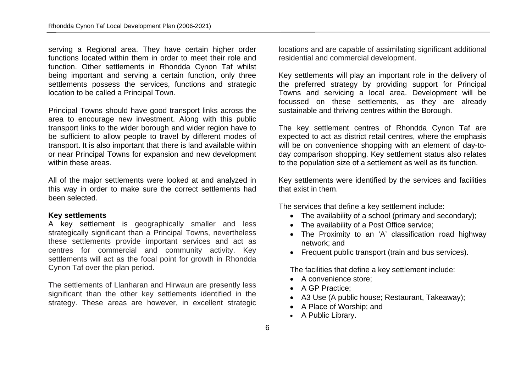serving a Regional area. They have certain higher order functions located within them in order to meet their role and function. Other settlements in Rhondda Cynon Taf whilst being important and serving a certain function, only three settlements possess the services, functions and strategic location to be called a Principal Town.

Principal Towns should have good transport links across the area to encourage new investment. Along with this public transport links to the wider borough and wider region have to be sufficient to allow people to travel by different modes of transport. It is also important that there is land available within or near Principal Towns for expansion and new development within these areas.

All of the major settlements were looked at and analyzed in this way in order to make sure the correct settlements had been selected.

#### **Key settlements**

A key settlement is geographically smaller and less strategically significant than a Principal Towns, nevertheless these settlements provide important services and act as centres for commercial and community activity. Key settlements will act as the focal point for growth in Rhondda Cynon Taf over the plan period.

The settlements of Llanharan and Hirwaun are presently less significant than the other key settlements identified in the strategy. These areas are however, in excellent strategic locations and are capable of assimilating significant additional residential and commercial development.

Key settlements will play an important role in the delivery of the preferred strategy by providing support for Principal Towns and servicing a local area. Development will be focussed on these settlements, as they are already sustainable and thriving centres within the Borough.

The key settlement centres of Rhondda Cynon Taf are expected to act as district retail centres, where the emphasis will be on convenience shopping with an element of day-today comparison shopping. Key settlement status also relates to the population size of a settlement as well as its function.

Key settlements were identified by the services and facilities that exist in them.

The services that define a key settlement include:

- The availability of a school (primary and secondary);
- The availability of a Post Office service;
- The Proximity to an 'A' classification road highway network; and
- Frequent public transport (train and bus services).

The facilities that define a key settlement include:

- A convenience store:
- A GP Practice:
- A3 Use (A public house; Restaurant, Takeaway);
- A Place of Worship; and
- A Public Library.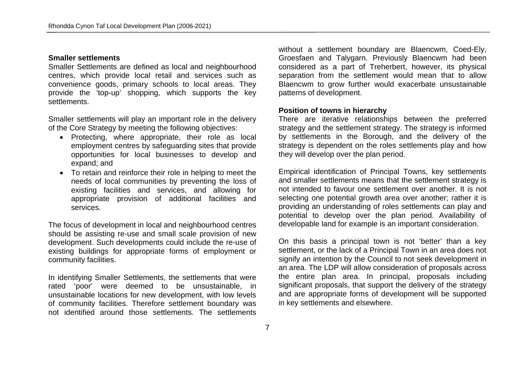#### **Smaller settlements**

Smaller Settlements are defined as local and neighbourhood centres, which provide local retail and services such as convenience goods, primary schools to local areas. They provide the 'top-up' shopping, which supports the key settlements.

Smaller settlements will play an important role in the delivery of the Core Strategy by meeting the following objectives:

- Protecting, where appropriate, their role as local employment centres by safeguarding sites that provide opportunities for local businesses to develop and expand; and
- To retain and reinforce their role in helping to meet the needs of local communities by preventing the loss of existing facilities and services, and allowing for appropriate provision of additional facilities and services.

The focus of development in local and neighbourhood centres should be assisting re-use and small scale provision of new development. Such developments could include the re-use of existing buildings for appropriate forms of employment or community facilities.

In identifying Smaller Settlements, the settlements that were rated 'poor' were deemed to be unsustainable, in unsustainable locations for new development, with low levels of community facilities. Therefore settlement boundary was not identified around those settlements. The settlements without a settlement boundary are Blaencwm, Coed-Ely, Groesfaen and Talygarn. Previously Blaencwm had been considered as a part of Treherbert, however, its physical separation from the settlement would mean that to allow Blaencwm to grow further would exacerbate unsustainable patterns of development.

#### **Position of towns in hierarchy**

There are iterative relationships between the preferred strategy and the settlement strategy. The strategy is informed by settlements in the Borough, and the delivery of the strategy is dependent on the roles settlements play and how they will develop over the plan period.

Empirical identification of Principal Towns, key settlements and smaller settlements means that the settlement strategy is not intended to favour one settlement over another. It is not selecting one potential growth area over another; rather it is providing an understanding of roles settlements can play and potential to develop over the plan period. Availability of developable land for example is an important consideration.

On this basis a principal town is not 'better' than a key settlement, or the lack of a Principal Town in an area does not signify an intention by the Council to not seek development in an area. The LDP will allow consideration of proposals across the entire plan area. In principal, proposals including significant proposals, that support the delivery of the strategy and are appropriate forms of development will be supported in key settlements and elsewhere.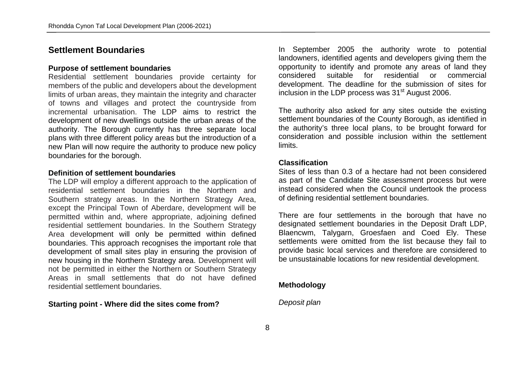# **Settlement Boundaries**

#### **Purpose of settlement boundaries**

Residential settlement boundaries provide certainty for members of the public and developers about the development limits of urban areas, they maintain the integrity and character of towns and villages and protect the countryside from incremental urbanisation. The LDP aims to restrict the development of new dwellings outside the urban areas of the authority. The Borough currently has three separate local plans with three different policy areas but the introduction of a new Plan will now require the authority to produce new policy boundaries for the borough.

#### **Definition of settlement boundaries**

The LDP will employ a different approach to the application of residential settlement boundaries in the Northern and Southern strategy areas. In the Northern Strategy Area, except the Principal Town of Aberdare, development will be permitted within and, where appropriate, adjoining defined residential settlement boundaries. In the Southern Strategy Area development will only be permitted within defined boundaries. This approach recognises the important role that development of small sites play in ensuring the provision of new housing in the Northern Strategy area. Development will not be permitted in either the Northern or Southern Strategy Areas in small settlements that do not have defined residential settlement boundaries.

#### **Starting point - Where did the sites come from?**

In September 2005 the authority wrote to potential landowners, identified agents and developers giving them the opportunity to identify and promote any areas of land they considered suitable for residential or commercial development. The deadline for the submission of sites for inclusion in the LDP process was 31<sup>st</sup> August 2006.

The authority also asked for any sites outside the existing settlement boundaries of the County Borough, as identified in the authority's three local plans, to be brought forward for consideration and possible inclusion within the settlement limits.

#### **Classification**

Sites of less than 0.3 of a hectare had not been considered as part of the Candidate Site assessment process but were instead considered when the Council undertook the process of defining residential settlement boundaries.

There are four settlements in the borough that have no designated settlement boundaries in the Deposit Draft LDP, Blaencwm, Talygarn, Groesfaen and Coed Ely. These settlements were omitted from the list because they fail to provide basic local services and therefore are considered to be unsustainable locations for new residential development.

#### **Methodology**

*Deposit plan*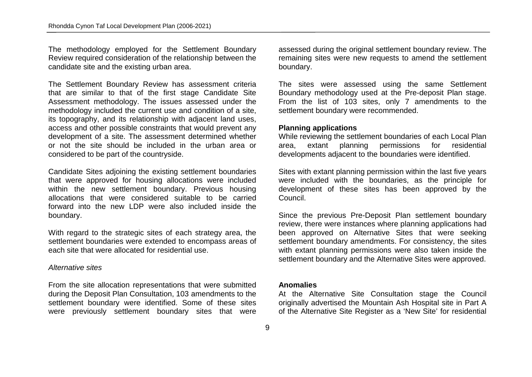The methodology employed for the Settlement Boundary Review required consideration of the relationship between the candidate site and the existing urban area.

The Settlement Boundary Review has assessment criteria that are similar to that of the first stage Candidate Site Assessment methodology. The issues assessed under the methodology included the current use and condition of a site, its topography, and its relationship with adjacent land uses, access and other possible constraints that would prevent any development of a site. The assessment determined whether or not the site should be included in the urban area or considered to be part of the countryside.

Candidate Sites adjoining the existing settlement boundaries that were approved for housing allocations were included within the new settlement boundary. Previous housing allocations that were considered suitable to be carried forward into the new LDP were also included inside the boundary.

With regard to the strategic sites of each strategy area, the settlement boundaries were extended to encompass areas of each site that were allocated for residential use.

#### *Alternative sites*

From the site allocation representations that were submitted during the Deposit Plan Consultation, 103 amendments to the settlement boundary were identified. Some of these sites were previously settlement boundary sites that were assessed during the original settlement boundary review. The remaining sites were new requests to amend the settlement boundary.

The sites were assessed using the same Settlement Boundary methodology used at the Pre-deposit Plan stage. From the list of 103 sites, only 7 amendments to the settlement boundary were recommended.

#### **Planning applications**

While reviewing the settlement boundaries of each Local Plan area, extant planning permissions for residential developments adjacent to the boundaries were identified.

Sites with extant planning permission within the last five years were included with the boundaries, as the principle for development of these sites has been approved by the Council.

Since the previous Pre-Deposit Plan settlement boundary review, there were instances where planning applications had been approved on Alternative Sites that were seeking settlement boundary amendments. For consistency, the sites with extant planning permissions were also taken inside the settlement boundary and the Alternative Sites were approved.

#### **Anomalies**

At the Alternative Site Consultation stage the Council originally advertised the Mountain Ash Hospital site in Part A of the Alternative Site Register as a 'New Site' for residential